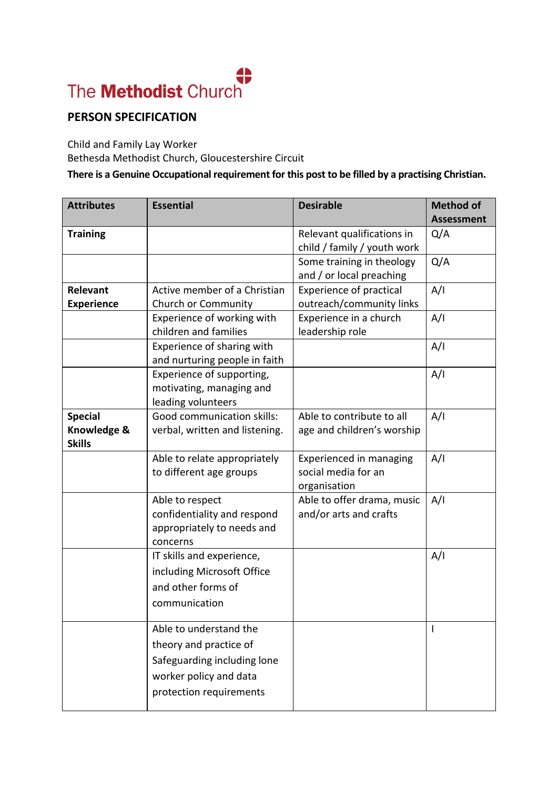## The Methodist Church

## **PERSON SPECIFICATION**

Child and Family Lay Worker Bethesda Methodist Church, Gloucestershire Circuit

## **There is a Genuine Occupational requirement for this post to be filled by a practising Christian.**

| <b>Attributes</b>                              | <b>Essential</b>                                                                                                                     | <b>Desirable</b>                                               | <b>Method of</b><br><b>Assessment</b> |
|------------------------------------------------|--------------------------------------------------------------------------------------------------------------------------------------|----------------------------------------------------------------|---------------------------------------|
| <b>Training</b>                                |                                                                                                                                      | Relevant qualifications in<br>child / family / youth work      | Q/A                                   |
|                                                |                                                                                                                                      | Some training in theology<br>and / or local preaching          | Q/A                                   |
| Relevant<br><b>Experience</b>                  | Active member of a Christian<br>Church or Community                                                                                  | <b>Experience of practical</b><br>outreach/community links     | A/I                                   |
|                                                | Experience of working with<br>children and families                                                                                  | Experience in a church<br>leadership role                      | A/I                                   |
|                                                | Experience of sharing with<br>and nurturing people in faith                                                                          |                                                                | A/I                                   |
|                                                | Experience of supporting,<br>motivating, managing and<br>leading volunteers                                                          |                                                                | A/I                                   |
| <b>Special</b><br>Knowledge &<br><b>Skills</b> | Good communication skills:<br>verbal, written and listening.                                                                         | Able to contribute to all<br>age and children's worship        | A/I                                   |
|                                                | Able to relate appropriately<br>to different age groups                                                                              | Experienced in managing<br>social media for an<br>organisation | A/I                                   |
|                                                | Able to respect<br>confidentiality and respond<br>appropriately to needs and<br>concerns                                             | Able to offer drama, music<br>and/or arts and crafts           | A/I                                   |
|                                                | IT skills and experience,<br>including Microsoft Office<br>and other forms of<br>communication                                       |                                                                | A/I                                   |
|                                                | Able to understand the<br>theory and practice of<br>Safeguarding including lone<br>worker policy and data<br>protection requirements |                                                                |                                       |